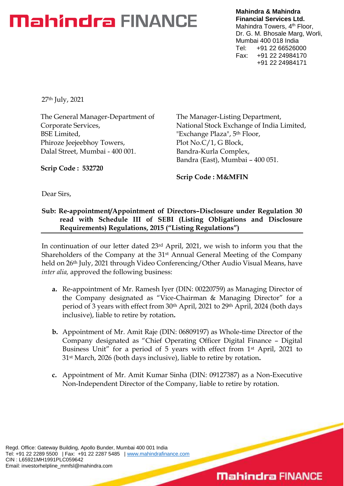**Mahindra & Mahindra Financial Services Ltd.** Mahindra Towers, 4<sup>th</sup> Floor, Dr. G. M. Bhosale Marg, Worli, Mumbai 400 018 India Tel: +91 22 66526000 Fax: +91 22 24984170 +91 22 24984171

27th July, 2021

The General Manager-Department of Corporate Services, BSE Limited, Phiroze Jeejeebhoy Towers, Dalal Street, Mumbai - 400 001.

The Manager-Listing Department, National Stock Exchange of India Limited, "Exchange Plaza", 5<sup>th</sup> Floor, Plot No.C/1, G Block, Bandra-Kurla Complex, Bandra (East), Mumbai – 400 051.

**Scrip Code : 532720**

**Scrip Code : M&MFIN**

Dear Sirs,

#### **Sub: Re-appointment/Appointment of Directors–Disclosure under Regulation 30 read with Schedule III of SEBI (Listing Obligations and Disclosure Requirements) Regulations, 2015 ("Listing Regulations")**

In continuation of our letter dated 23rd April, 2021, we wish to inform you that the Shareholders of the Company at the 31st Annual General Meeting of the Company held on 26th July, 2021 through Video Conferencing/Other Audio Visual Means, have *inter alia,* approved the following business:

- **a.** Re-appointment of Mr. Ramesh Iyer (DIN: 00220759) as Managing Director of the Company designated as "Vice-Chairman & Managing Director" for a period of 3 years with effect from 30th April, 2021 to 29th April, 2024 (both days inclusive), liable to retire by rotation**.**
- **b.** Appointment of Mr. Amit Raje (DIN: 06809197) as Whole-time Director of the Company designated as "Chief Operating Officer Digital Finance – Digital Business Unit" for a period of 5 years with effect from 1st April, 2021 to 31st March, 2026 (both days inclusive), liable to retire by rotation**.**
- **c.** Appointment of Mr. Amit Kumar Sinha (DIN: 09127387) as a Non-Executive Non-Independent Director of the Company, liable to retire by rotation.

Regd. Office: Gateway Building, Apollo Bunder, Mumbai 400 001 India Tel: +91 22 2289 5500 | Fax: +91 22 2287 5485 | [www.mahindrafinance.com](http://www.mahindrafinance.com/) CIN : L65921MH1991PLC059642 Email: investorhelpline\_mmfsl@mahindra.com

### **Mahindra FINANCE**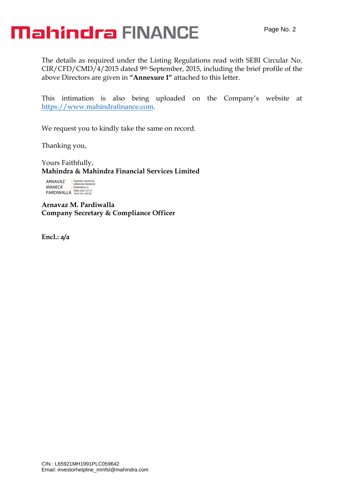The details as required under the Listing Regulations read with SEBI Circular No. CIR/CFD/CMD/4/2015 dated 9th September, 2015, including the brief profile of the above Directors are given in **"Annexure I"** attached to this letter.

This intimation is also being uploaded on the Company's website at [https://www.mahindrafinance.com.](https://www.mahindrafinance.com/)

We request you to kindly take the same on record.

Thanking you,

Yours Faithfully, **Mahindra & Mahindra Financial Services Limited**

ARNAVAZ MANECK PARDIWALLA Digitally signed by ARNAVAZ MANECK PARDIWALLA Date: 2021.07.27 16:41:54 +05'30'

**Arnavaz M. Pardiwalla Company Secretary & Compliance Officer**

**Encl.: a/a**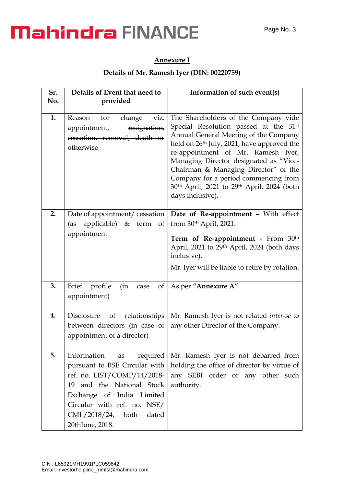#### **Annexure I**

#### **Details of Mr. Ramesh Iyer (DIN: 00220759)**

| Sr. | Details of Event that need to                                                                                                                                                                                                        | Information of such event(s)                                                                                                                                                                                                                                                                                                                                                                                       |
|-----|--------------------------------------------------------------------------------------------------------------------------------------------------------------------------------------------------------------------------------------|--------------------------------------------------------------------------------------------------------------------------------------------------------------------------------------------------------------------------------------------------------------------------------------------------------------------------------------------------------------------------------------------------------------------|
| No. | provided                                                                                                                                                                                                                             |                                                                                                                                                                                                                                                                                                                                                                                                                    |
| 1.  | Reason<br>for<br>change<br>viz.<br>appointment,<br>resignation,<br>cessation, removal, death or<br>otherwise                                                                                                                         | The Shareholders of the Company vide<br>Special Resolution passed at the 31st<br>Annual General Meeting of the Company<br>held on 26 <sup>th</sup> July, 2021, have approved the<br>re-appointment of Mr. Ramesh Iyer,<br>Managing Director designated as "Vice-<br>Chairman & Managing Director" of the<br>Company for a period commencing from<br>30th April, 2021 to 29th April, 2024 (both<br>days inclusive). |
| 2.  | Date of appointment/cessation<br>applicable) & term of<br>(as<br>appointment                                                                                                                                                         | Date of Re-appointment - With effect<br>from $30th$ April, 2021.<br>Term of Re-appointment - From 30th<br>April, 2021 to 29th April, 2024 (both days<br>inclusive).<br>Mr. Iyer will be liable to retire by rotation.                                                                                                                                                                                              |
| 3.  | <b>Brief</b><br>profile<br>(in<br>of<br>case<br>appointment)                                                                                                                                                                         | As per "Annexure A".                                                                                                                                                                                                                                                                                                                                                                                               |
| 4.  | Disclosure<br>of<br>relationships<br>between directors (in case of<br>appointment of a director)                                                                                                                                     | Mr. Ramesh Iyer is not related inter-se to<br>any other Director of the Company.                                                                                                                                                                                                                                                                                                                                   |
| 5.  | Information<br>as required<br>pursuant to BSE Circular with<br>ref. no. LIST/COMP/14/2018-<br>19 and the National Stock<br>Exchange of India Limited<br>Circular with ref. no. NSE/<br>CML/2018/24, both<br>dated<br>20thJune, 2018. | Mr. Ramesh Iyer is not debarred from<br>holding the office of director by virtue of<br>any SEBI order or any other such<br>authority.                                                                                                                                                                                                                                                                              |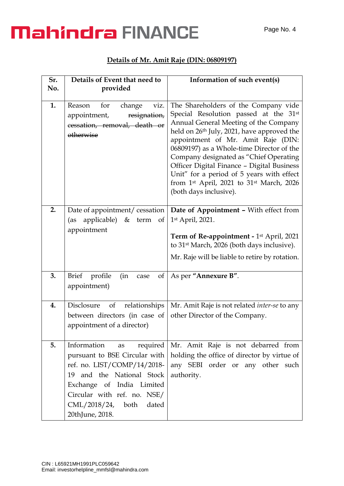#### **Details of Mr. Amit Raje (DIN: 06809197)**

| Sr. | Details of Event that need to                                                                                                                                                                                                           | Information of such event(s)                                                                                                                                                                                                                                                                                                                                                                                                                                       |
|-----|-----------------------------------------------------------------------------------------------------------------------------------------------------------------------------------------------------------------------------------------|--------------------------------------------------------------------------------------------------------------------------------------------------------------------------------------------------------------------------------------------------------------------------------------------------------------------------------------------------------------------------------------------------------------------------------------------------------------------|
| No. | provided                                                                                                                                                                                                                                |                                                                                                                                                                                                                                                                                                                                                                                                                                                                    |
| 1.  | change<br>viz.<br>Reason<br>for<br>appointment,<br>resignation,<br>cessation, removal, death or<br>otherwise                                                                                                                            | The Shareholders of the Company vide<br>Special Resolution passed at the 31st<br>Annual General Meeting of the Company<br>held on 26th July, 2021, have approved the<br>appointment of Mr. Amit Raje (DIN:<br>06809197) as a Whole-time Director of the<br>Company designated as "Chief Operating<br>Officer Digital Finance - Digital Business<br>Unit" for a period of 5 years with effect<br>from 1st April, 2021 to 31st March, 2026<br>(both days inclusive). |
| 2.  | Date of appointment/cessation<br>applicable)<br>&<br>(as<br>term<br>of<br>appointment                                                                                                                                                   | Date of Appointment - With effect from<br>1st April, 2021.<br>Term of Re-appointment - 1 <sup>st</sup> April, 2021<br>to 31 <sup>st</sup> March, 2026 (both days inclusive).<br>Mr. Raje will be liable to retire by rotation.                                                                                                                                                                                                                                     |
| 3.  | <b>Brief</b><br>profile<br>(in<br>of<br>case<br>appointment)                                                                                                                                                                            | As per "Annexure B".                                                                                                                                                                                                                                                                                                                                                                                                                                               |
| 4.  | $\circ$ of<br>relationships<br>Disclosure<br>between directors (in case of<br>appointment of a director)                                                                                                                                | Mr. Amit Raje is not related <i>inter-se</i> to any<br>other Director of the Company.                                                                                                                                                                                                                                                                                                                                                                              |
| 5.  | Information<br>required<br>as<br>pursuant to BSE Circular with<br>ref. no. LIST/COMP/14/2018-<br>19 and the National Stock<br>Exchange of India Limited<br>Circular with ref. no. NSE/<br>CML/2018/24, both<br>dated<br>20thJune, 2018. | Mr. Amit Raje is not debarred from<br>holding the office of director by virtue of<br>any SEBI order or any other such<br>authority.                                                                                                                                                                                                                                                                                                                                |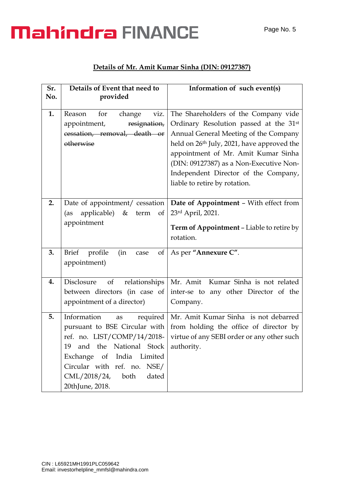#### **Details of Mr. Amit Kumar Sinha (DIN: 09127387)**

| Sr. | Details of Event that need to                                                                                                                                                                                                                                | Information of such event(s)                                                                                                                                                                                                                                                                                                                 |
|-----|--------------------------------------------------------------------------------------------------------------------------------------------------------------------------------------------------------------------------------------------------------------|----------------------------------------------------------------------------------------------------------------------------------------------------------------------------------------------------------------------------------------------------------------------------------------------------------------------------------------------|
| No. | provided                                                                                                                                                                                                                                                     |                                                                                                                                                                                                                                                                                                                                              |
| 1.  | Reason<br>for<br>change<br>viz.<br>appointment,<br>resignation,<br>cessation, removal, death or<br>otherwise                                                                                                                                                 | The Shareholders of the Company vide<br>Ordinary Resolution passed at the 31st<br>Annual General Meeting of the Company<br>held on 26 <sup>th</sup> July, 2021, have approved the<br>appointment of Mr. Amit Kumar Sinha<br>(DIN: 09127387) as a Non-Executive Non-<br>Independent Director of the Company,<br>liable to retire by rotation. |
| 2.  | Date of appointment/ cessation<br>applicable) $\&$<br>(as<br>term<br>of<br>appointment                                                                                                                                                                       | Date of Appointment - With effect from<br>23rd April, 2021.<br><b>Term of Appointment - Liable to retire by</b><br>rotation.                                                                                                                                                                                                                 |
| 3.  | <b>Brief</b><br>profile<br>(in<br>of<br>case<br>appointment)                                                                                                                                                                                                 | As per "Annexure C".                                                                                                                                                                                                                                                                                                                         |
| 4.  | of<br>relationships<br>Disclosure<br>between directors (in case of<br>appointment of a director)                                                                                                                                                             | Mr. Amit Kumar Sinha is not related<br>inter-se to any other Director of the<br>Company.                                                                                                                                                                                                                                                     |
| 5.  | Information<br>required<br>as<br>pursuant to BSE Circular with<br>ref. no. LIST/COMP/14/2018-<br>the<br>National Stock<br>19<br>and<br>Exchange<br>India Limited<br>of<br>Circular with ref. no.<br>NSE/<br>CML/2018/24,<br>both<br>dated<br>20thJune, 2018. | Mr. Amit Kumar Sinha is not debarred<br>from holding the office of director by<br>virtue of any SEBI order or any other such<br>authority.                                                                                                                                                                                                   |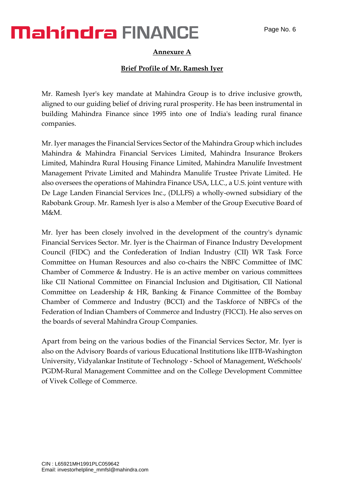#### **Annexure A**

#### **Brief Profile of Mr. Ramesh Iyer**

Mr. Ramesh Iyer's key mandate at Mahindra Group is to drive inclusive growth, aligned to our guiding belief of driving rural prosperity. He has been instrumental in building Mahindra Finance since 1995 into one of India's leading rural finance companies.

Mr. Iyer manages the Financial Services Sector of the Mahindra Group which includes Mahindra & Mahindra Financial Services Limited, Mahindra Insurance Brokers Limited, Mahindra Rural Housing Finance Limited, Mahindra Manulife Investment Management Private Limited and Mahindra Manulife Trustee Private Limited. He also oversees the operations of Mahindra Finance USA, LLC., a U.S. joint venture with De Lage Landen Financial Services Inc., (DLLFS) a wholly-owned subsidiary of the Rabobank Group. Mr. Ramesh Iyer is also a Member of the Group Executive Board of  $M\&M$ 

Mr. Iyer has been closely involved in the development of the country's dynamic Financial Services Sector. Mr. Iyer is the Chairman of Finance Industry Development Council (FIDC) and the Confederation of Indian Industry (CII) WR Task Force Committee on Human Resources and also co-chairs the NBFC Committee of IMC Chamber of Commerce & Industry. He is an active member on various committees like CII National Committee on Financial Inclusion and Digitisation, CII National Committee on Leadership & HR, Banking & Finance Committee of the Bombay Chamber of Commerce and Industry (BCCI) and the Taskforce of NBFCs of the Federation of Indian Chambers of Commerce and Industry (FICCI). He also serves on the boards of several Mahindra Group Companies.

Apart from being on the various bodies of the Financial Services Sector, Mr. Iyer is also on the Advisory Boards of various Educational Institutions like IITB-Washington University, Vidyalankar Institute of Technology - School of Management, WeSchools' PGDM-Rural Management Committee and on the College Development Committee of Vivek College of Commerce.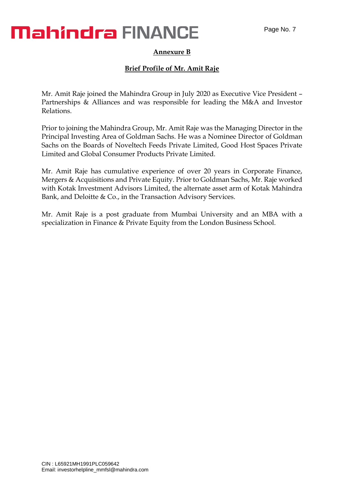#### **Annexure B**

#### **Brief Profile of Mr. Amit Raje**

Mr. Amit Raje joined the Mahindra Group in July 2020 as Executive Vice President – Partnerships & Alliances and was responsible for leading the M&A and Investor Relations.

Prior to joining the Mahindra Group, Mr. Amit Raje was the Managing Director in the Principal Investing Area of Goldman Sachs. He was a Nominee Director of Goldman Sachs on the Boards of Noveltech Feeds Private Limited, Good Host Spaces Private Limited and Global Consumer Products Private Limited.

Mr. Amit Raje has cumulative experience of over 20 years in Corporate Finance, Mergers & Acquisitions and Private Equity. Prior to Goldman Sachs, Mr. Raje worked with Kotak Investment Advisors Limited, the alternate asset arm of Kotak Mahindra Bank, and Deloitte & Co., in the Transaction Advisory Services.

Mr. Amit Raje is a post graduate from Mumbai University and an MBA with a specialization in Finance & Private Equity from the London Business School.